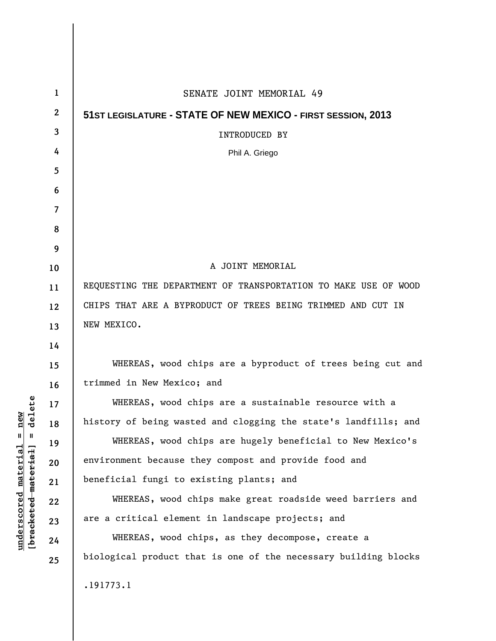| $\mathbf{1}$     | SENATE JOINT MEMORIAL 49                                        |
|------------------|-----------------------------------------------------------------|
| $\boldsymbol{2}$ | 51ST LEGISLATURE - STATE OF NEW MEXICO - FIRST SESSION, 2013    |
| 3                | <b>INTRODUCED BY</b>                                            |
| 4                | Phil A. Griego                                                  |
| 5                |                                                                 |
| 6                |                                                                 |
| $\overline{7}$   |                                                                 |
| 8                |                                                                 |
| 9                |                                                                 |
| 10               | A JOINT MEMORIAL                                                |
| 11               | REQUESTING THE DEPARTMENT OF TRANSPORTATION TO MAKE USE OF WOOD |
| 12               | CHIPS THAT ARE A BYPRODUCT OF TREES BEING TRIMMED AND CUT IN    |
| 13               | NEW MEXICO.                                                     |
| 14               |                                                                 |
| 15               | WHEREAS, wood chips are a byproduct of trees being cut and      |
| 16               | trimmed in New Mexico; and                                      |
| 17               | WHEREAS, wood chips are a sustainable resource with a           |
| 18               | history of being wasted and clogging the state's landfills; and |
| 19               | WHEREAS, wood chips are hugely beneficial to New Mexico's       |
| 20               | environment because they compost and provide food and           |
| 21               | beneficial fungi to existing plants; and                        |
| 22               | WHEREAS, wood chips make great roadside weed barriers and       |
| 23               | are a critical element in landscape projects; and               |
| 24               | WHEREAS, wood chips, as they decompose, create a                |
| 25               | biological product that is one of the necessary building blocks |
|                  | .191773.1                                                       |

**underscored material = new [bracketed material] = delete**

 $[bracketeed-materiat] = delete$  $underscored material = new$ 

 $\overline{\phantom{a}}$